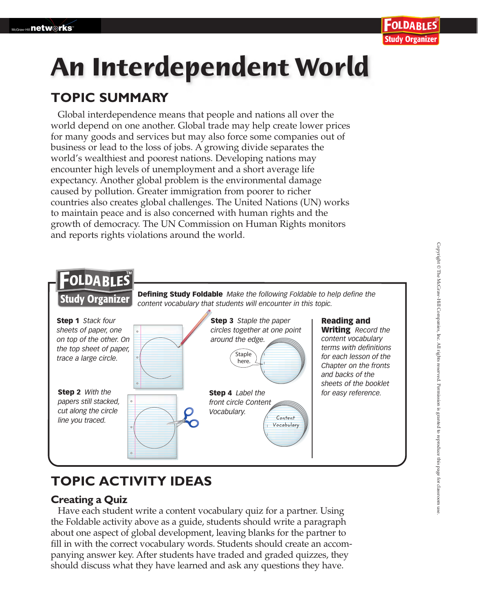# **An Interdependent World**

### **TOPIC SUMMARY**

Global interdependence means that people and nations all over the world depend on one another. Global trade may help create lower prices for many goods and services but may also force some companies out of business or lead to the loss of jobs. A growing divide separates the world's wealthiest and poorest nations. Developing nations may encounter high levels of unemployment and a short average life expectancy. Another global problem is the environmental damage caused by pollution. Greater immigration from poorer to richer countries also creates global challenges. The United Nations (UN) works to maintain peace and is also concerned with human rights and the growth of democracy. The UN Commission on Human Rights monitors and reports rights violations around the world.



## **TOPIC ACTIVITY IDEAS**

#### **Creating a Quiz**

Have each student write a content vocabulary quiz for a partner. Using the Foldable activity above as a guide, students should write a paragraph about one aspect of global development, leaving blanks for the partner to fill in with the correct vocabulary words. Students should create an accompanying answer key. After students have traded and graded quizzes, they should discuss what they have learned and ask any questions they have.